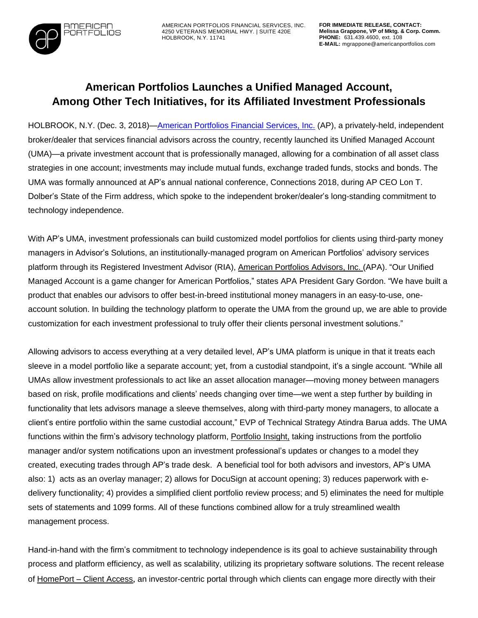

AMERICAN PORTFOLIOS FINANCIAL SERVICES, INC. 4250 VETERANS MEMORIAL HWY. | SUITE 420E HOLBROOK, N.Y. 11741

## **American Portfolios Launches a Unified Managed Account, Among Other Tech Initiatives, for its Affiliated Investment Professionals**

HOLBROOK, N.Y. (Dec. 3, 2018)[—American](http://www.americanportfolios.com/) Portfolios Financial Services, Inc. (AP), a privately-held, independent broker/dealer that services financial advisors across the country, recently launched its Unified Managed Account (UMA)—a private investment account that is professionally managed, allowing for a combination of all asset class strategies in one account; investments may include mutual funds, exchange traded funds, stocks and bonds. The UMA was formally announced at AP's annual national conference, Connections 2018, during AP CEO Lon T. Dolber's State of the Firm address, which spoke to the independent broker/dealer's long-standing commitment to technology independence.

With AP's UMA, investment professionals can build customized model portfolios for clients using third-party money managers in Advisor's Solutions, an institutionally-managed program on American Portfolios' advisory services platform through its Registered Investment Advisor (RIA), [American](https://www.americanportfolios.com/advisors/) Portfolios Advisors, Inc. (APA). "Our Unified Managed Account is a game changer for American Portfolios," states APA President Gary Gordon. "We have built a product that enables our advisors to offer best-in-breed institutional money managers in an easy-to-use, oneaccount solution. In building the technology platform to operate the UMA from the ground up, we are able to provide customization for each investment professional to truly offer their clients personal investment solutions."

Allowing advisors to access everything at a very detailed level, AP's UMA platform is unique in that it treats each sleeve in a model portfolio like a separate account; yet, from a custodial standpoint, it's a single account. "While all UMAs allow investment professionals to act like an asset allocation manager—moving money between managers based on risk, profile modifications and clients' needs changing over time—we went a step further by building in functionality that lets advisors manage a sleeve themselves, along with third-party money managers, to allocate a client's entire portfolio within the same custodial account," EVP of Technical Strategy Atindra Barua adds. The UMA functions within the firm's advisory technology platform, [Portfolio](http://www.marketwired.com/press-release/american-portfolios-financial-services-finalizes-trustfort-acquisition-further-develop-2222332.htm) Insight, taking instructions from the portfolio manager and/or system notifications upon an investment professional's updates or changes to a model they created, executing trades through AP's trade desk. A beneficial tool for both advisors and investors, AP's UMA also: 1) acts as an overlay manager; 2) allows for DocuSign at account opening; 3) reduces paperwork with edelivery functionality; 4) provides a simplified client portfolio review process; and 5) eliminates the need for multiple sets of statements and 1099 forms. All of these functions combined allow for a truly streamlined wealth management process.

Hand-in-hand with the firm's commitment to technology independence is its goal to achieve sustainability through process and platform efficiency, as well as scalability, utilizing its proprietary software solutions. The recent release of [HomePort](https://www.prweb.com/releases/american_portfolios_officially_launches_client_facing_portal_within_its_proprietary_technology_platform/prweb15689239.htm) – Client Access, an investor-centric portal through which clients can engage more directly with their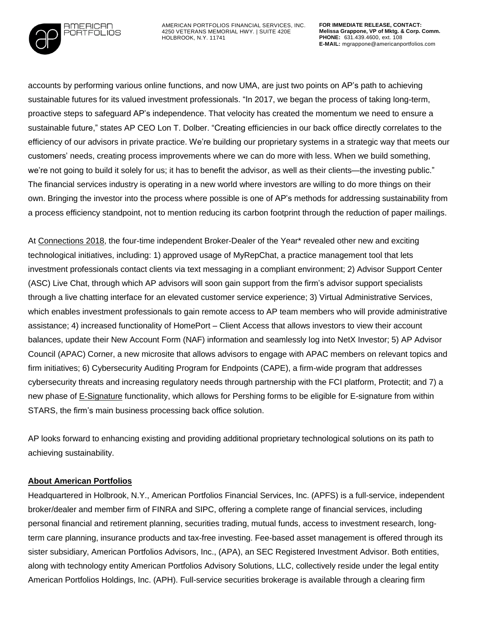

AMERICAN PORTFOLIOS FINANCIAL SERVICES, INC. 4250 VETERANS MEMORIAL HWY. | SUITE 420E HOLBROOK, N.Y. 11741

accounts by performing various online functions, and now UMA, are just two points on AP's path to achieving sustainable futures for its valued investment professionals. "In 2017, we began the process of taking long-term, proactive steps to safeguard AP's independence. That velocity has created the momentum we need to ensure a sustainable future," states AP CEO Lon T. Dolber. "Creating efficiencies in our back office directly correlates to the efficiency of our advisors in private practice. We're building our proprietary systems in a strategic way that meets our customers' needs, creating process improvements where we can do more with less. When we build something, we're not going to build it solely for us; it has to benefit the advisor, as well as their clients—the investing public." The financial services industry is operating in a new world where investors are willing to do more things on their own. Bringing the investor into the process where possible is one of AP's methods for addressing sustainability from a process efficiency standpoint, not to mention reducing its carbon footprint through the reduction of paper mailings.

At [Connections](https://www.prweb.com/releases/2018/11/prweb15907625.htm) 2018, the four-time independent Broker-Dealer of the Year\* revealed other new and exciting technological initiatives, including: 1) approved usage of MyRepChat, a practice management tool that lets investment professionals contact clients via text messaging in a compliant environment; 2) Advisor Support Center (ASC) Live Chat, through which AP advisors will soon gain support from the firm's advisor support specialists through a live chatting interface for an elevated customer service experience; 3) Virtual Administrative Services, which enables investment professionals to gain remote access to AP team members who will provide administrative assistance; 4) increased functionality of HomePort – Client Access that allows investors to view their account balances, update their New Account Form (NAF) information and seamlessly log into NetX Investor; 5) AP Advisor Council (APAC) Corner, a new microsite that allows advisors to engage with APAC members on relevant topics and firm initiatives; 6) Cybersecurity Auditing Program for Endpoints (CAPE), a firm-wide program that addresses cybersecurity threats and increasing regulatory needs through partnership with the FCI platform, Protectit; and 7) a new phase of [E-Signature](http://www.marketwired.com/press-release/american-portfolios-deploys-phase-two-e-sign-functionality-within-its-web-based-business-2169588.htm) functionality, which allows for Pershing forms to be eligible for E-signature from within STARS, the firm's main business processing back office solution.

AP looks forward to enhancing existing and providing additional proprietary technological solutions on its path to achieving sustainability.

## **About American Portfolios**

Headquartered in Holbrook, N.Y., American Portfolios Financial Services, Inc. (APFS) is a full-service, independent broker/dealer and member firm of FINRA and SIPC, offering a complete range of financial services, including personal financial and retirement planning, securities trading, mutual funds, access to investment research, longterm care planning, insurance products and tax-free investing. Fee-based asset management is offered through its sister subsidiary, American Portfolios Advisors, Inc., (APA), an SEC Registered Investment Advisor. Both entities, along with technology entity American Portfolios Advisory Solutions, LLC, collectively reside under the legal entity American Portfolios Holdings, Inc. (APH). Full-service securities brokerage is available through a clearing firm